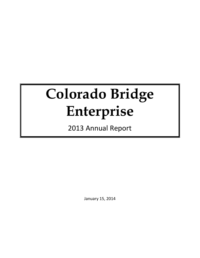# **Colorado Bridge Enterprise**

2013 Annual Report

January 15, 2014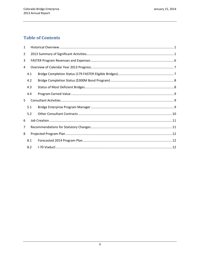# **Table of Contents**

| $\mathbf{1}$   |     |  |  |  |  |  |
|----------------|-----|--|--|--|--|--|
| $\overline{2}$ |     |  |  |  |  |  |
| 3              |     |  |  |  |  |  |
| 4              |     |  |  |  |  |  |
|                | 4.1 |  |  |  |  |  |
|                | 4.2 |  |  |  |  |  |
|                | 4.3 |  |  |  |  |  |
|                | 4.4 |  |  |  |  |  |
| 5              |     |  |  |  |  |  |
|                | 5.1 |  |  |  |  |  |
|                | 5.2 |  |  |  |  |  |
| 6              |     |  |  |  |  |  |
| 7              |     |  |  |  |  |  |
| 8              |     |  |  |  |  |  |
|                | 8.1 |  |  |  |  |  |
|                | 8.2 |  |  |  |  |  |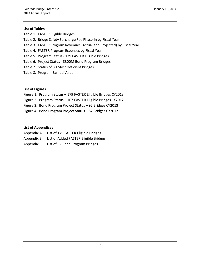#### **List of Tables**

- Table 1. FASTER Eligible Bridges
- Table 2. Bridge Safety Surcharge Fee Phase-in by Fiscal Year
- Table 3. FASTER Program Revenues (Actual and Projected) by Fiscal Year
- Table 4. FASTER Program Expenses by Fiscal Year
- Table 5. Program Status 179 FASTER Eligible Bridges
- Table 6. Project Status \$300M Bond Program Bridges
- Table 7. Status of 30 Most Deficient Bridges
- Table 8. Program Earned Value

#### **List of Figures**

- Figure 1. Program Status 179 FASTER Eligible Bridges CY2013
- Figure 2. Program Status 167 FASTER Eligible Bridges CY2012
- Figure 3. Bond Program Project Status 92 Bridges CY2013
- Figure 4. Bond Program Project Status 87 Bridges CY2012

#### **List of Appendices**

- Appendix A List of 179 FASTER Eligible Bridges
- Appendix B List of Added FASTER Eligible Bridges
- Appendix C List of 92 Bond Program Bridges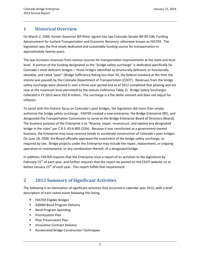## **1 Historical Overview**

On March 2, 2009, former Governor Bill Ritter signed into law Colorado Senate Bill 09-108, Funding Advancement for Surface Transportation and Economic Recovery, otherwise known as FASTER. The legislation was the first newly dedicated and sustainable funding source for transportation in approximately twenty years.

The law increases revenues from various sources for transportation improvements at the state and local level. A portion of the funding designated as the "bridge safety surcharge" is dedicated specifically for Colorado's most deficient bridges— those bridges identified as structurally deficient, or functionally obsolete, and rated "poor" (Bridge Sufficiency Rating less than 50, the federal standard at the time the statute was passed) by the Colorado Department of Transportation (CDOT). Revenues from the bridge safety surcharge were phased in over a three year period and as of 2012 completed that phasing and are now at the maximum level permitted by the statute (reference Table 2). Bridge Safety Surcharges collected in FY 2013 were \$92.8 million. The surcharge is a flat dollar amount and does not adjust for inflation.

To assist with this historic focus on Colorado's poor bridges, the legislation did more than simply authorize the bridge safety surcharge. FASTER created a new enterprise, the Bridge Enterprise (BE), and designated the Transportation Commission to serve as the Bridge Enterprise Board of Directors (Board). The business purpose of the Enterprise is to "finance, repair, reconstruct, and replace any designated bridge in the state" per C.R.S. 43-4-805 (2)(b). Because it was constituted as a government-owned business, the Enterprise may issue revenue bonds to accelerate construction of Colorado's poor bridges. On June 18, 2009, the Board officially approved the enactment of the bridge safety surcharge, as required by law. Bridge projects under the Enterprise may include the repair, replacement, or ongoing operation or maintenance, or any combination thereof, of a designated bridge.

In addition, FASTER requires that the Enterprise issue a report of its activities to the legislature by February 15<sup>th</sup> of each year, and further requires that the report be posted on the CDOT website on or before January  $15<sup>th</sup>$  of each year. This report fulfills that requirement.

# **2 2013 Summary of Significant Activities**

The following is an itemization of significant activities that occurred in calendar year 2013, with a brief description of each noted event following the listing.

- **FASTER Eligible Bridges**
- **5300M Bond Program Delivery**
- Bond Program Spending
- **•** Prioritization Plan
- **Pilot Preservation Plan**
- **Innovative Contract Delivery**
- **EXEC** Accelerated Bridge Construction Techniques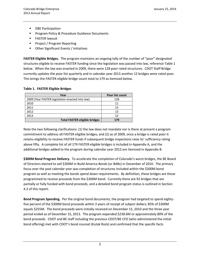- DBE Participation
- **Program Policy & Procedure Guidance Documents**
- **FASTER lawsuit**
- **Project / Program Reporting**
- **Other Significant Events / Initiatives**

**FASTER Eligible Bridges.** The program maintains an ongoing tally of the number of "poor" designated structures eligible to receive FASTER funding since the legislation was passed into law, reference Table 1 below. When the law was enacted in 2009, there were 128 poor rated structures. CDOT Staff Bridge currently updates the poor list quarterly and in calendar year 2013 another 12 bridges were rated poor. This brings the FASTER eligible bridge count total to 179 as itemized below.

#### **Table 1. FASTER Eligible Bridges**

| Year                                            | Poor list count |
|-------------------------------------------------|-----------------|
| 2009 (Year FASTER legislation enacted into law) | 128             |
| 2010                                            | 11              |
| 2011                                            | 15              |
| 2012                                            | 13              |
| 2013                                            | 12              |
| <b>Total FASTER eligible bridges</b>            | 179             |

Note the two following clarifications: (1) the law does not mandate nor is there at present a program commitment to address all FASTER eligible bridges, and (2) as of 2009, once a bridge is rated poor it retains eligibility to receive FASTER funds if subsequent bridge inspections raise its' sufficiency rating above fifty. A complete list of all 179 FASTER eligible bridges is included in Appendix A, and the additional bridges added to the program during calendar year 2013 are itemized in Appendix B.

**\$300M Bond Program Delivery**. To accelerate the completion of Colorado's worst bridges, the BE Board of Directors elected to sell \$300M in Build America Bonds (or BABs) in December of 2010. The primary focus over the past calendar year was completion of structures included within the \$300M bond program as well as meeting the bonds spend down requirements. By definition, these bridges are those programmed to receive proceeds from the \$300M bond. Currently there are 92 bridges that are partially or fully funded with bond proceeds, and a detailed bond program status is outlined in Section 4.2 of this report.

**Bond Program Spending.** Per the original bond documents, the program had targeted to spend eightyfive percent of the \$300M bond proceeds within 3 years of receipt of subject dollars; 85% of \$300M equals \$255M. The bond proceeds were initially received on December 15, 2010 and the three year period ended as of December 15, 2013. The program expended \$238.6M or approximately 80% of the bond proceeds. CDOT and BE staff including the previous CDOT/BE CFO (who administered the initial bond offering) met with CDOT's bond counsel (Kutak Rock) and confirmed that the specific facts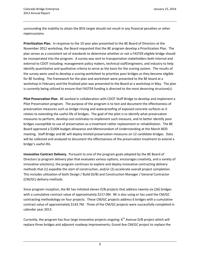surrounding the inability to attain the 85% target should not result in any financial penalties or other repercussions.

**Prioritization Plan.** In response to the 10 year plan presented to the BE Board of Directors at the November 2012 workshop, the Board requested that the BE program develop a Prioritization Plan. The plan serves as a consistent set of standards to determine whether or not a FASTER eligible bridge should be incorporated into the program. A survey was sent to transportation stakeholders both internal and external to CDOT including: management policy makers, technical staff/engineers, and industry to help identify quantitative and qualitative criteria to serve as the basis for the scoring system. The results of the survey were used to develop a scoring worksheet to prioritize poor bridges as they become eligible for BE funding. The framework for the plan and worksheet were presented to the BE board at a workshop in February and the finalized plan was presented to the Board at a workshop in May. The plan is currently being utilized to ensure that FASTER funding is directed to the most deserving structure(s).

**Pilot Preservation Plan.** BE worked in collaboration with CDOT Staff Bridge to develop and implement a Pilot Preservation program. The purpose of the program is to test and document the effectiveness of preservation measures such as bridge rinsing and waterproofing of exposed concrete surfaces as it relates to extending the useful life of bridges. The goal of the pilot is to identify what preservation measures to perform, develop cost estimates to implement such measure, and to better identify poor bridges susceptible to use of preservation as a treatment rather replacement or rehabilitation. The BE Board approved a \$100K budget allowance and Memorandum of Understanding at the March BOD meeting. Staff Bridge and BE will deploy limited preservation measures on 12 candidate bridges. Data will be collected and analyzed to document the effectiveness of the preservation treatment to extend a bridge's useful life.

**Innovative Contract Delivery.** Pursuant to one of the program goals adopted by the BE Board of Directors (a program delivery plan that evaluates various options, encourages creativity, and a variety of innovative solutions), the program continues to explore and deploy innovative contracting delivery methods that (1) expedite the start of construction, and/or (2) accelerate overall project completion. This includes utilization of both Design / Build (D/B) and Construction Manager / General Contractor (CM/GC) delivery methods.

Since program inception, the BE has initiated eleven D/B projects that address twenty-six (26) bridges with a cumulative contract value of approximately \$217.0M. BE is also using or has used the CM/GC contracting methodology on four projects. These CM/GC projects address 6 bridges with a cumulative contract value of approximately \$143.7M. Three of the CM/GC projects were successfully completed in calendar year 2013.

Currently, the program has four large innovative projects ongoing:  $6<sup>th</sup>$  Avenue D/B project which will replace three bridges and adjacent roadway improvements; Grand Ave CM/GC project to replace the

3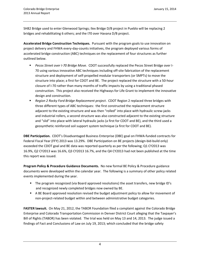SH82 Bridge used to enter Glenwood Springs; Ilex Bridge D/B project in Pueblo will be replacing 2 bridges and rehabilitating 6 others; and the I70 over Havana D/B project.

**Accelerated Bridge Construction Techniques.** Pursuant with the program goals to use innovation on project delivery and FHWA every-day-counts initiatives, the program deployed various forms of accelerated bridge construction (ABC) techniques on the replacement of four structures as further outlined below.

- *Pecos Street over I-70 Bridge Move.* CDOT successfully replaced the Pecos Street Bridge over I-70 using various innovative ABC techniques including off-site fabrication of the replacement structure and deployment of self-propelled modular transporters (or SMPTs) to move the structure into place; a first for CDOT and BE. The project replaced the structure with a 50-hour closure of I-70 rather than many months of traffic impacts by using a traditional phased construction. This project also received the Highways for Life Grant to implement the innovative design and construction.
- *Region 2 Rocky Ford Bridge Replacement project*. CDOT Region 2 replaced three bridges with three different types of ABC techniques: the first constructed the replacement structure adjacent to the existing structure and was then "rolled" into place with hydraulic screw-jacks and industrial rollers, a second structure was also constructed adjacent to the existing structure and "slid" into place with lateral hydraulic jacks (a first for CDOT and BE), and the third used a geosynthetic reinforced soil support system technique (a first for CDOT and BE).

**DBE Participation.** CDOT's Disadvantaged Business Enterprise (DBE) goal on FHWA-funded contracts for Federal Fiscal Year (FFY) 2013 was 13.29%. DBE Participation on BE projects (design-bid-build only) exceeded the CDOT goal and BE data was reported quarterly as per the following; Q1 CY2013 was 16.9%, Q2 CY2013 was 16.6%, Q3 CY2013 16.7%, and the Q4 CY2013 had not been published at the time this report was issued.

**Program Policy & Procedure Guidance Documents.** No new formal BE Policy & Procedure guidance documents were developed within the calendar year. The following is a summary of other policy related events implemented during the year.

- The program recognized (via Board approved resolutions) the asset transfers, new bridge ID's and recognized newly completed bridges now owned by BE.
- **A BE Board approved resolution revised the budget adjustment policy to allow for movement of** non-project-related budget within and between administrative budget categories.

**FASTER lawsuit.** On May 21, 2012, the TABOR Foundation filed a complaint against the Colorado Bridge Enterprise and Colorado Transportation Commission in Denver District Court alleging that the Taxpayer's Bill of Rights (TABOR) has been violated. The trial was held on May 13 and 14, 2013. The judge issued a findings of Fact and Conclusions of Law on July 19, 2013; which concluded that the bridge safety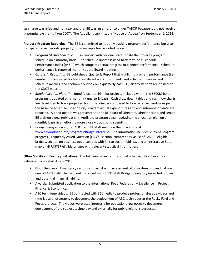surcharge was a fee and not a tax and that BE was an enterprise under TABOR because it did not receive impermissible grants from CDOT. The Appellant submitted a "Notice of Appeal" on September 6, 2013.

**Project / Program Reporting.** The BE is committed to not only tracking program performance but also transparency via periodic project / program reporting as noted below:

- *Program Master Schedule.* BE in concert with regional staff update the project / program schedule on a monthly basis. The schedule update is used to determine a Schedule Performance Index (or SPI) which compares actual progress to planned performance. Schedule performance is reported monthly at the Board meeting.
- *Quarterly Reporting.* BE publishes a Quarterly Report that highlights program performance (i.e., number of completed bridges), significant accomplishments and activities, financial and schedule metrics, and economic outlook on a quarterly basis. Quarterly Reports are posted on the CDOT website.
- *Bond Allocation Plan.* The Bond Allocation Plan for projects included within the \$300M bond program is updated on a monthly / quarterly basis. Cash draw down tables and cash flow charts are developed to track projected bond spending as compared to forecasted expenditures per the baseline schedule. In addition, program actual expenditures and encumbrances to date are reported. A bond update was presented to the BE Board of Directors, Director Hunt, and senior BE staff on a quarterly basis. In April, the program began updating the allocation plan on a monthly basis in an effort to more closely track bond spending.
- *Bridge Enterprise website.* CDOT and BE staff maintain the BE website at www.coloradodot.info/programs/BridgeEnterprise. The information includes: current program progress, Frequently Asked Question (FAQ's) section, comprehensive list of FASTER eligible bridges, section on business opportunities with link to current bid list, and an interactive State map of all FASTER eligible bridges with relevant statistical information.

**Other Significant Events / Initiatives.** The following is an itemization of other significant events / initiatives completed during 2013.

- **FIOOD RECOVETY.** Emergency response to assist with assessment of on-system bridges that are newly FASTER eligible. Worked in concert with CDOT Staff Bridge to quantify impacted bridges and potential financial liability.
- Awards. Submitted application to the International Road Federation Excellence in Project Finance & Economics.
- ABC technique videos. BE contracted with 360media to produce professional-grade videos and time-lapse photography to document the deployment of ABC techniques at the Rocky Ford and Pecos projects. The videos were used internally for educational purposes to document deployment of the subject technology and externally for public relations purposes.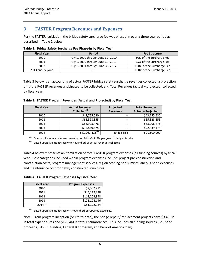## **3 FASTER Program Revenues and Expenses**

Per the FASTER legislation, the bridge safety surcharge fee was phased-in over a three year period as described in Table 2 below.

| <b>Fiscal Year</b> | <b>Period</b>                      | <b>Fee Structure</b>      |
|--------------------|------------------------------------|---------------------------|
| 2010               | July 1, 2009 through June 30, 2010 | 50% of the Surcharge Fee  |
| 2011               | July 1, 2010 through June 30, 2011 | 75% of the Surcharge Fee  |
| 2012               | July 1, 2011 through June 30, 2012 | 100% of the Surcharge Fee |
| 2013 and Beyond    |                                    | 100% of the Surcharge Fee |

**Table 2. Bridge Safety Surcharge Fee Phase-in by Fiscal Year**

Table 3 below is an accounting of actual FASTER bridge safety surcharge revenues collected, a projection of future FASTER revenues anticipated to be collected, and Total Revenues (actual + projected) collected by fiscal year.

|  | Table 3. FASTER Program Revenues (Actual and Projected) by Fiscal Year |
|--|------------------------------------------------------------------------|
|--|------------------------------------------------------------------------|

| <b>Fiscal Year</b> | <b>Actual Revenues</b>   | Projected       | <b>Total Revenues</b>     |
|--------------------|--------------------------|-----------------|---------------------------|
|                    | Collected <sup>(1)</sup> | <b>Revenues</b> | <b>Actual + Projected</b> |
| 2010               | \$43,755,530             | --              | \$43,755,530              |
| 2011               | \$65,328,855             | $- -$           | \$65,328,855              |
| 2012               | \$88,908,478             | $- -$           | \$88,908,478              |
| 2013               | \$92,839,475             | $- -$           | \$92,839,475              |
| 2014               | $$41,961,415^{(2)}$      | 49,638,585      | \$91,600,000              |

 $(1)$  Does not include any interest earnings or FHWA's \$15M per year of pledged funding

 $(2)$  Based upon five months (July to November) of actual revenues collected

Table 4 below represents an itemization of total FASTER program expenses (all funding sources) by fiscal year. Cost categories included within program expenses include: project pre-construction and construction costs, program management services, region scoping pools, miscellaneous bond expenses and maintenance cost for newly constructed structures.

**Table 4. FASTER Program Expenses by Fiscal Year**

| <b>Fiscal Year</b> | <b>Program Expenses</b> |  |
|--------------------|-------------------------|--|
| 2010               | \$2,382,211             |  |
| 2011               | \$44,119,228            |  |
| 2012               | \$119,208,948           |  |
| 2013               | \$171,104,146           |  |
| $2014^{(1)}$       | \$51,172,964            |  |

 $(1)$  Based upon five months (July – November) of reported expenses.

Note - From program inception (or life-to-date), the bridge repair / replacement projects have \$337.3M in total expenditures and \$125.4M in total encumbrances. This includes all funding sources (i.e., bond proceeds, FASTER funding, Federal BR program, and Bank of America loan).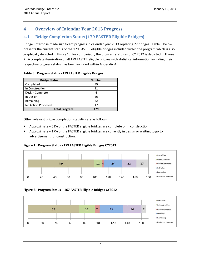## **4 Overview of Calendar Year 2013 Progress**

## **4.1 Bridge Completion Status (179 FASTER Eligible Bridges)**

Bridge Enterprise made significant progress in calendar year 2013 replacing 27 bridges. Table 5 below presents the current status of the 179 FASTER eligible bridges included within the program which is also graphically depicted in Figure 1. For comparison, the program status as of CY 2012 is depicted in Figure 2. A complete itemization of all 179 FASTER eligible bridges with statistical information including their respective progress status has been included within Appendix A.

| <b>Bridge Status</b> | <b>Number</b> |
|----------------------|---------------|
| Completed            | 99            |
| In Construction      | 11            |
| Design Complete      | 4             |
| In Design            | 26            |
| Remaining            | 22            |
| No Action Proposed   | 17            |
| <b>Total Program</b> | 179           |

#### **Table 5. Program Status - 179 FASTER Eligible Bridges**

Other relevant bridge completion statistics are as follows:

- Approximately 61% of the FASTER eligible bridges are complete or in construction.
- Approximately 17% of the FASTER eligible bridges are currently in design or waiting to go to advertisement for construction.

#### **Figure 1. Program Status - 179 FASTER Eligible Bridges CY2013**



**Figure 2. Program Status – 167 FASTER Eligible Bridges CY2012**

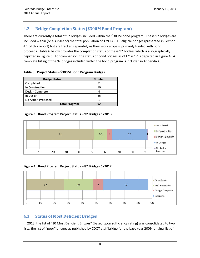## **4.2 Bridge Completion Status (\$300M Bond Program)**

There are currently a total of 92 bridges included within the \$300M bond program. These 92 bridges are included within (or a subset of) the total population of 179 FASTER eligible bridges (presented in Section 4.1 of this report) but are tracked separately as their work scope is primarily funded with bond proceeds. Table 6 below provides the completion status of these 92 bridges which is also graphically depicted in Figure 3. For comparison, the status of bond bridges as of CY 2012 is depicted in Figure 4. A complete listing of the 92 bridges included within the bond program is included in Appendix C.

#### **Table 6. Project Status - \$300M Bond Program Bridges**

| <b>Bridge Status</b> | <b>Number</b> |
|----------------------|---------------|
| Completed            | 51            |
| In Construction      | 10            |
| Design Complete      |               |
| In Design            | 26            |
| No Action Proposed   |               |
| <b>Total Program</b> | 97            |

#### **Figure 3. Bond Program Project Status – 92 Bridges CY2013**



**Figure 4. Bond Program Project Status – 87 Bridges CY2012**



## **4.3 Status of Most Deficient Bridges**

In 2013, the list of "30 Most Deficient Bridges" (based upon sufficiency rating) was consolidated to two lists: the list of "poor" bridges as published by CDOT staff bridge for the base year 2009 (original list of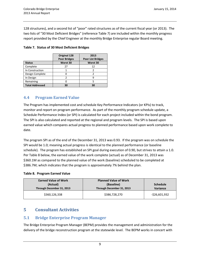128 structures), and a second list of "poor" rated structures as of the current fiscal year (or 2013). The two lists of "30 Most Deficient Bridges" (reference Table 7) are included within the monthly progress report provided by the Chief Engineer at the monthly Bridge Enterprise regular Board meeting.

|                        | Original 128<br><b>Poor Bridges</b> | 2013<br><b>Poor List Bridges</b> |
|------------------------|-------------------------------------|----------------------------------|
| <b>Status</b>          | Worst 30                            | Worst 30                         |
| Complete               | 27                                  | 12                               |
| In Construction        |                                     |                                  |
| Design Complete        |                                     |                                  |
| In Design              |                                     | q                                |
| Remaining              |                                     |                                  |
| <b>Total Addressed</b> | 30                                  | 30                               |

|  |  | Table 7. Status of 30 Most Deficient Bridges |
|--|--|----------------------------------------------|
|--|--|----------------------------------------------|

## **4.4 Program Earned Value**

The Program has implemented cost and schedule Key Performance Indicators (or KPIs) to track, monitor and report on program performance. As part of the monthly program schedule update, a Schedule Performance Index (or SPI) is calculated for each project included within the bond program. The SPI is also calculated and reported at the regional and program levels. The SPI is based upon earned value which compares actual progress to planned performance based upon work complete to date.

The program SPI as of the end of the December 31, 2013 was 0.93. If the program was on schedule the SPI would be 1.0; meaning actual progress is identical to the planned performance (or baseline schedule). The program has established an SPI goal during execution of 0.90, but strives to attain a 1.0. Per Table 8 below, the earned value of the work complete (actual) as of December 31, 2013 was \$360.1M as compared to the planned value of the work (baseline) scheduled to be completed at \$386.7M; which indicates that the program is approximately 7% behind the plan.

#### **Table 8. Program Earned Value**

| <b>Earned Value of Work</b><br>(Actual)<br>Through December 31, 2013 | <b>Planned Value of Work</b><br>(Baseline)<br>Through December 31, 2013 | <b>Schedule</b><br><b>Variance</b> |  |
|----------------------------------------------------------------------|-------------------------------------------------------------------------|------------------------------------|--|
| \$360,126,338                                                        | \$386,728,270                                                           | $-526,601,932$                     |  |

# **5 Consultant Activities**

## **5.1 Bridge Enterprise Program Manager**

The Bridge Enterprise Program Manager (BEPM) provides the management and administration for the delivery of the bridge reconstruction program at the statewide level. The BEPM works in concert with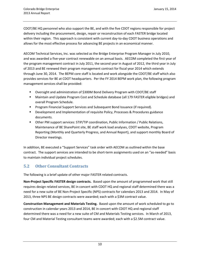CDOT/BE HQ personnel who also support the BE, and with the five CDOT regions responsible for project delivery including the procurement, design, repair or reconstruction of each FASTER bridge located within their region. This approach is consistent with current day-to-day CDOT business operations and allows for the most effective process for advancing BE projects in an economical manner.

AECOM Technical Services, Inc. was selected as the Bridge Enterprise Program Manager in July 2010, and was awarded a five-year contract renewable on an annual basis. AECOM completed the first year of the program management contract in July 2011, the second year in August of 2012, the third year in July of 2013 and BE renewed their program management contract for fiscal year 2014 which extends through June 30, 2014. The BEPM core staff is located and work alongside the CDOT/BE staff which also provides services for BE at CDOT headquarters. Per the FY 2014 BEPM work plan, the following program management services shall be provided:

- Oversight and administration of \$300M Bond Delivery Program with CDOT/BE staff
- Maintain and Update Program Cost and Schedule database (all 179 FASTER eligible bridges) and overall Program Schedule.
- **Program Financial Support Services and Subsequent Bond Issuance (if required).**
- Development and Implementation of requisite Policy, Processes & Procedures guidance documents.
- Other PM support services: STIP/TIP coordination, Public Information / Public Relations, Maintenance of BE SharePoint site, BE staff work load analyses, CDOT website, Program Reporting (Monthly and Quarterly Progress, and Annual Report), and support monthly Board of Director meetings.

In addition, BE executed a "Support Services" task order with AECOM as outlined within the base contract. The support services are intended to be short-term assignments used on an "as-needed" basis to maintain individual project schedules.

## **5.2 Other Consultant Contracts**

The following is a brief update of other major FASTER related contracts.

**Non-Project Specific FASTER design contracts.** Based upon the amount of programmed work that still requires design related services, BE in concert with CDOT HQ and regional staff determined there was a need for a new suite of BE Non-Project Specific (NPS) contracts for calendars 2013 and 2014. In May of 2013, three NPS BE design contracts were awarded; each with a \$3M contract value.

**Construction Management and Materials Testing.** Based upon the amount of work scheduled to go to construction in calendar years 2013 and 2014, BE in concert with CDOT HQ and regional staff determined there was a need for a new suite of CM and Materials Testing services. In March of 2013, four CM and Material Testing consultant teams were awarded; each with a \$2.5M contract value.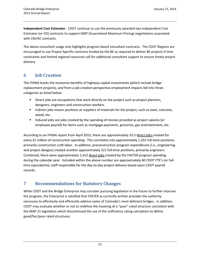**Independent Cost Estimator.** CDOT continue to use the previously awarded two Independent Cost Estimator (or ICE) contracts to support GMP (Guaranteed Maximum Pricing) negotiations associated with CM/GC contracts.

The above consultant usage only highlights program based consultant contracts. The CDOT Regions are encouraged to use Project Specific contracts funded by the BE as required to deliver BE projects if time constraints and limited regional resources call for additional consultant support to ensure timely project delivery.

# **6 Job Creation**

The FHWA tracks the economic benefits of highway capital investments (which include bridge replacement projects), and from a job creation perspective employment impacts fall into three categories as listed below:

- **Direct jobs are occupations that work directly on the project such as project planners,** designers, engineers and construction workers.
- Indirect jobs means positions at suppliers of materials for the project, such as steel, concrete, wood, etc.
- **Induced jobs are jobs created by the spending of monies provided as project salaries [or** employee payroll] for items such as mortgage payments, groceries, gas entertainment, etc.

According to an FHWA report from April 2012, there are approximately 10.3 direct jobs created for every \$1 million of construction spending. This correlates into approximately 1,291 full-time positions; primarily construction craft labor. In addition, preconstruction program expenditures (i.e., engineering and project designs) created another approximately 121 full-time positions; primarily engineers. Combined, there were approximately 1,412 direct jobs created by the FASTER program spending during the calendar year. Included within the above number are approximately 60 CDOT FTE's (or fulltime equivalents); staff responsible for the day-to-day project delivery based upon CDOT payroll records.

## **7 Recommendations for Statutory Changes**

While CDOT and the Bridge Enterprise may consider pursuing legislation in the future to further improve the program, the Enterprise is satisfied that FASTER as currently written provides the authority necessary to effectively and efficiently address some of Colorado's most deficient bridges. In addition, CDOT may evaluate whether or not to redefine the meaning of a "poor" rated structure consistent with the MAP-21 legislation which discontinued the use of the sufficiency rating calculation to define good/fair/poor rated structures.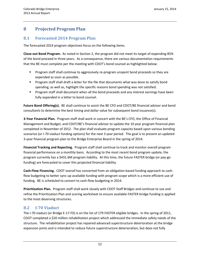## **8 Projected Program Plan**

#### **8.1 Forecasted 2014 Program Plan**

The forecasted 2014 program objectives focus on the following items.

**Close-out Bond Program.** As noted in Section 2, the program did not meet its target of expending 85% of the bond proceed in three years. As a consequence, there are various documentation requirements that the BE must complete per the meeting with CDOT's bond counsel as highlighted below:

- Program staff shall continue to aggressively re-program unspent bond proceeds so they are expended as soon as possible.
- **Program staff shall draft a letter for the file that documents what was done to satisfy bond** spending; as well as, highlight the specific reasons bond spending was not satisfied.
- **Program staff shall document when all the bond proceeds and any interest earnings have been** fully expended in a letter to bond counsel.

**Future Bond Offering(s).** BE shall continue to assist the BE CFO and CDOT/BE financial advisor and bond consultants to determine the best timing and dollar value for subsequent bond issuance(s).

**3-Year Financial Plan.** Program staff shall work in concert with the BE's CFO, the Office of Financial Management and Budget, and CDOT/BE's financial advisor to update the 10 year program financial plan completed in November of 2012. The plan shall evaluate program capacity based upon various bonding scenarios (or I-70 viaduct funding options) for the next 3 year period. The goal is to present an updated 3-year financial program plan to the Bridge Enterprise Board in the spring of 2014.

**Financial Tracking and Reporting.** Program staff shall continue to track and monitor overall program financial performance on a monthly basis. According to the most recent bond program update, the program currently has a \$431.6M program liability. At this time, the future FASTER bridge (or pay-go funding) are forecasted to cover this projected financial liability.

**Cash-Flow Financing.** CDOT overall has converted from an obligation-based funding approach to cashflow budgeting to better sync-up available funding with program scope which is a more efficient use of funding. BE is scheduled to convert to cash-flow budgeting in 2014.

**Prioritization Plan.** Program staff shall work closely with CDOT Staff Bridges and continue to use and refine the Prioritization Plan and scoring worksheet to ensure available FASTER bridge funding is applied to the most deserving structures.

#### **8.2 I-70 Viaduct**

The I-70 viaduct (or Bridge E-17-FX) is on the list of 179 FASTER eligible bridges. In the spring of 2011, CDOT completed a \$20 million rehabilitation project which addressed the immediate safety needs of the structure. The rehabilitation project has repaired advanced superstructure deterioration at the bridge expansion joints and is intended to reduce future superstructure deterioration, but does not fully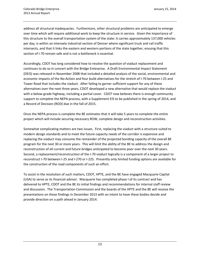address all structural inadequacies. Furthermore, other structural problems are anticipated to emerge over time which will require additional work to keep the structure in service. Given the importance of this structure to the overall transportation system of the state: it carries approximately 137,000 vehicles per day, is within an intensely industrial section of Denver where significant truck and rail traffic intersects, and that it links the eastern and western portions of the state together, ensuing that this section of I-70 remain safe and is not a bottleneck is essential.

Accordingly, CDOT has long considered how to resolve the question of viaduct replacement and continues to do so in concert with the Bridge Enterprise. A Draft Environmental Impact Statement (DEIS) was released in November 2008 that included a detailed analysis of the social, environmental and economic impacts of the No-Action and four build alternatives for the stretch of I-70 between I-25 and Tower Road that includes the viaduct. After failing to garner sufficient support for any of these alternatives over the next three years, CDOT developed a new alternative that would replace the viaduct with a below-grade highway, including a partial cover. CDOT now believes there is enough community support to complete the NEPA process, with a Supplement EIS to be published in the spring of 2014, and a Record of Decision (ROD) due in the fall of 2015.

Once the NEPA process is complete the BE estimates that it will take 5 years to complete the entire project which will include securing necessary ROW, complete design and reconstruction activities.

Somewhat complicating matters are two issues. First, replacing the viaduct with a structure suited to modern design standards and to meet the future capacity needs of the corridor is expensive and replacing the viaduct may consume the remainder of the projected bonding capacity of the overall BE program for the next 30 or more years. This will limit the ability of the BE to address the design and reconstruction of all current and future bridges anticipated to become poor over the next 30 years. Second, a replacement/reconstruction of the I-70 viaduct logically is a component of a larger project to reconstruct I-70 between I-25 and I-270 or I-225. Presently only limited funding options are available for the construction of the road components of such an effort.

To assist in the resolution of such matters, CDOT, HPTE, and the BE have engaged Macquarie Capital (USA) to serve as its financial advisor. Macquarie has completed phase I of its contract and has delivered to HPTE, CDOT and the BE its initial findings and recommendations for internal staff review and discussion. The Transportation Commission and the boards of the HPTE and the BE will receive the presentations on these findings in December 2013 with an intent to have these bodies decide and provide direction on a path ahead in January 2014.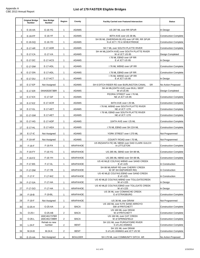#### **List of 179 FASTER Eligible Bridges**

|                | <b>Original Bridge</b><br>Number | <b>New Bridge</b><br>Number  | Region         | County          | <b>Facility Carried over Featured Intersection</b>                          | <b>Status</b>                |
|----------------|----------------------------------|------------------------------|----------------|-----------------|-----------------------------------------------------------------------------|------------------------------|
| $\mathbf{1}$   | $E-16-AA$                        | $E-16-YG$                    | $\mathbf{1}$   | ADAMS           | US 287 ML over RR SPUR                                                      | In Design                    |
| $\overline{2}$ | $E-16-FP$                        | $E-16-YF$                    | $\mathbf{1}$   | ADAMS           | 80TH AVE over US 36 ML                                                      | <b>Construction Complete</b> |
| 3              | $E-16-GQ$                        | E-16-YD                      | 1              | ADAMS           | SH 95 ML (SHERIDAN BLVD) over UP RR, RR SPUR<br>N of JCT I 70 in WHEATRIDGE | <b>Construction Complete</b> |
| $\overline{4}$ | $E-17-AR$                        | E-17-ADR                     | $\mathbf{1}$   | ADAMS           | SH 7 ML over SOUTH PLATTE RIVER                                             | <b>Construction Complete</b> |
| 5 <sup>1</sup> | E-17-CA                          | E-17-VA                      | 1              | ADAMS           | SH 44 ML(104TH AVE) over SOUTH PLATTE RIVER<br>W of JCT US 85               | Design Completed             |
| 6              | E-17-DC                          | <b>E-17-ACS</b>              | 1              | ADAMS           | 176 ML EBND over UP RR<br>E of JCT US 85                                    | In Design                    |
| $\overline{7}$ | E-17-DM                          | E-17-ADL                     | $\mathbf{1}$   | ADAMS           | 176 ML WBND over UP RR                                                      | <b>Construction Complete</b> |
| 8              | E-17-DN                          | E-17-ADL                     | $\mathbf{1}$   | <b>ADAMS</b>    | 176 ML EBND over UP RR                                                      | <b>Construction Complete</b> |
| $\overline{9}$ | E-17-DU                          | E-17-ACT                     | $\mathbf{1}$   | ADAMS           | 176 ML WBND over UP RR<br>E of JCT US 85                                    | In Design                    |
| 10             | E-17-EP                          | Not Assigned                 | $\mathbf{1}$   | ADAMS           | SH 6 DITCH RIDER RD over BURLINGTON CANAL<br><b>SR</b>                      | No Action Proposed           |
| 11             | E-17-ER                          | 044A002673BR                 | $\mathbf{1}$   | ADAMS           | SH 44 ML(104TH AVE) over BULL SEEP<br>W of US 85                            | Design Completed             |
| 12             | $E-17-EX$                        | E-17-GF                      | $\mathbf{1}$   | ADAMS           | PEORIA STREET over I 76 ML<br>NE of JCT US 85                               | <b>Construction Complete</b> |
| 13             | $E-17-EZ$                        | <b>E-17-ACR</b>              | $\mathbf{1}$   | ADAMS           | 84TH AVE over I 25 ML                                                       | <b>Construction Complete</b> |
|                | E-17-GL                          | E-17-AET                     |                | ADAMS           | 176 ML WBND over SOUTH PLATTE RIVER<br>NE of JCT I 270                      | <b>Construction Complete</b> |
| 14             |                                  |                              | $\mathbf{1}$   |                 | 176 ML EBND over SOUTH PLATTE RIVER                                         |                              |
| 15             | E-17-GM                          | <b>E-17-AET</b>              | 1              | <b>ADAMS</b>    | NE of JCT I 270                                                             | <b>Construction Complete</b> |
| 16             | E-17-HG                          | E-17-ADP                     | $\mathbf{1}$   | ADAMS           | 104TH AVE over I 25 ML                                                      | <b>Construction Complete</b> |
| 17             | E-17-HL                          | E-17-AEA                     | $\mathbf{1}$   | <b>ADAMS</b>    | 176 ML EBND over SH 224 ML                                                  | <b>Construction Complete</b> |
| 18             | $E-17-IC$                        | Not Assigned                 | $\mathbf{1}$   | ADAMS           | YORK STREET over I 270 ML                                                   | Not Programmed               |
| 19             | F-19-AF                          | Not Assigned                 | $\mathbf{1}$   | ADAMS           | COUNTY ROAD over I 70 ML<br>US 85(SANTA FE) ML NBND over DAD CLARK GULCH    | Not Programmed               |
| 20             | $F-16-F$                         | F-16-FA                      | $\mathbf{1}$   | ARAPAHOE        | in LITTLETON                                                                | <b>Construction Complete</b> |
| 21             | $F-16-FY$                        | $F-16-YG$                    | $\mathbf{1}$   | ARAPAHOE        | US 285 ML SBND over SH 88 ML                                                | <b>Construction Complete</b> |
| 22             | $F-16-FZ$                        | F-16-YH                      | $\mathbf{1}$   | ARAPAHOE        | US 285 ML NBND over SH 88 ML<br>US 40 ML(E COLFAX) WBND over SAND CREEK     | <b>Construction Complete</b> |
| 23             | F-17-BS                          | $F-17-XL$                    | 1              | ARAPAHOE        | E of I-225<br>SH 88 ML/ARAP RD over CHERRY CREEK                            | In Construction              |
| 24             | F-17-DM                          | F-17-YB                      | 1              | ARAPAHOE        | W OF SH 83 (PARKER RD)                                                      | In Construction              |
| 25             | $F-17-F$                         | F-17-WZ                      | $\mathbf{1}$   | <b>ARAPAHOE</b> | US 40 ML(E COLFAX) EBND over SAND CREEK<br>E of I-225                       | In Construction              |
| 26             | F-17-GA                          | F-17-HA                      | $\mathbf{1}$   | ARAPAHOE        | US 40 ML(E COLFAX) WBND over TOLLGATECREEK<br>W of I-225                    | In Design                    |
| 27             | F-17-GO                          | F-17-HA                      | 1              | ARAPAHOE        | US 40 ML(E COLFAX) EBND over TOLLGATE CREEK<br>W of I-225                   | In Design                    |
| 28             | $F-19-B$                         | F-19-BL                      | $\mathbf{1}$   | ARAPAHOE        | US 36 ML over COMANCHE CREEK<br>E of STRASBURG                              | <b>Construction Complete</b> |
| 29             | $F-19-F$                         | Not Assigned                 | $\mathbf{1}$   | ARAPAHOE        | US 36 ML over DRAW                                                          | Not Programmed               |
| 30             | $O-25-H$                         | O-25-AA                      | 2              | <b>BACA</b>     | US 160 ML over N FK SAND ARROYO<br>SW of PRITCHETT                          | <b>Construction Complete</b> |
| 31             | $O-25-I$                         | $O-25-AB$                    | 2              | BACA            | US 160 ML over DRAW<br>W of PRITCHETT                                       | <b>Construction Complete</b> |
| 32             | $O-26-L$                         | 160C461737BR<br>160C461739BR | $\overline{2}$ | BACA            | US 160 ML over CAT CREEK<br>W of SPRINGFIELD                                | <b>Construction Complete</b> |
| 33             | $L-24-F$                         | Rehab no new<br>number       | $\overline{2}$ | BENT            | SH 101 ML over PURGATOIRE RIVER<br>S of LAS ANIMAS                          | <b>Construction Complete</b> |
| 34             | M-24-B                           | M-24-K                       | $\overline{2}$ | BENT            | SH 101 ML over DRAW<br>S of LAS ANIMAS and JCT US 50                        | <b>Construction Complete</b> |
| 35             | E-15-AA                          | Not Assigned                 | $\overline{4}$ | <b>BOULDER</b>  | SH 170 ML over COMMUNITY DITCH AR                                           | No Action Proposed           |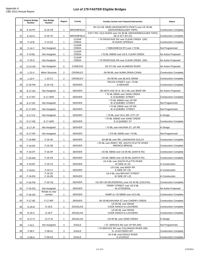|    | <b>Original Bridge</b><br>Number | <b>New Bridge</b><br>Number | Region         | County                       | <b>Facility Carried over Featured Intersection</b>                         | <b>Status</b>                |
|----|----------------------------------|-----------------------------|----------------|------------------------------|----------------------------------------------------------------------------|------------------------------|
| 36 | E-16-FK                          | $E-16-YB$                   | $\mathbf{1}$   | <b>BROOMFIELD</b>            | SH 121 ML SBND (WADSWORTH PKWY) over US 36 ML<br>(DENVER/BOULDER TNPK)     | <b>Construction Complete</b> |
| 37 | $E-16-FL$                        | E-16-YC                     | $\mathbf{1}$   | <b>BROOMFIELD</b>            | CNTY RD / OLD WADS over US 36 ML (DENVER/BOULDER TNPK)<br>SE of JCT SH 121 | <b>Construction Complete</b> |
| 38 | $F-14-B$                         | F-14-AZ                     | 1              | <b>CLEAR</b><br>CREEK        | I 70 FRONTAGE RD over CLEAR CREEK (SR)<br>W IDAHO SPRINGS                  | <b>Construction Complete</b> |
| 39 | $F-14-Y$                         | Not Assigned                | 1              | <b>CLEAR</b><br><b>CREEK</b> | I 70 (BUSINESS RT) over I 70 ML                                            | Not Programmed               |
| 40 | $F-15-BL$                        | Not Assigned                | 1              | <b>CLEAR</b><br><b>CREEK</b> | 170 ML WBND over US 6, CLEAR CREEK                                         | No Action Proposed           |
| 41 | $F-15-D$                         | Not Assigned                | $\mathbf{1}$   | <b>CLEAR</b><br><b>CREEK</b> | 170 FRONTAGE RD over CLEAR CREEK (SR)                                      | No Action Proposed           |
| 42 | O-12-AD                          | Not Assigned                | 5              | <b>CONEJOS</b>               | SH 371 ML over ALAMOSA RIVER                                               | No Action Proposed           |
| 43 | $L-21-U$                         | <b>Minor Structure</b>      | $\overline{2}$ | <b>CROWLEY</b>               | SH 96 ML over NUMA DRAIN CANAL                                             | <b>Construction Complete</b> |
| 44 | $L-22-F$                         | <b>L-22-CJ</b>              | $\overline{2}$ | <b>CROWLEY</b>               | SH 96 ML over BLACK DRAW                                                   | <b>Construction Complete</b> |
| 45 | E-16-FW                          | $E-16-YQ$                   | $\mathbf{1}$   | <b>DENVER</b>                | PECOS STREET over I 70 ML<br>in DENVER                                     | <b>Construction Complete</b> |
| 46 | E-17-AH                          | Not Assigned                | $\mathbf{1}$   | <b>DENVER</b>                | ON 40TH AVE W of SH 2 ML over BNSF RR                                      | No Action Proposed           |
| 47 | E-17-BY                          | E-17-AER                    | $\mathbf{1}$   | <b>DENVER</b>                | 170 ML EBND over SAND CREEK<br>E of QUEBEC STREET                          | <b>Construction Complete</b> |
| 48 | E-17-DF                          | Not Assigned                | $\mathbf{1}$   | <b>DENVER</b>                | 170 ML WBND over UP RR<br>W of QUEBEC STREET                               | Not Programmed               |
| 49 | E-17-EW                          | Not Assigned                | $\mathbf{1}$   | <b>DENVER</b>                | 170 ML EBND over UP RR<br>W of QUEBEC STREET                               | Not Programmed               |
| 50 | E-17-FX                          | Not Assigned                | $\mathbf{1}$   | <b>DENVER</b>                | 170 ML over US 6, RR, CITY ST                                              | In Design                    |
| 51 | E-17-GE                          | <b>E-17-AER</b>             | $\mathbf{1}$   | <b>DENVER</b>                | 170 ML WBND over SAND CREEK<br>E of QUEBEC ST                              | <b>Construction Complete</b> |
| 52 | $E-17-JP$                        | Not Assigned                | $\mathbf{1}$   | <b>DENVER</b>                | 170 ML over HAVANA ST, UP RR                                               | In Design                    |
| 53 | E-17-KR                          | Not Assigned                | $\mathbf{1}$   | <b>DENVER</b>                | I 270 ML EBND over I 70 ML                                                 | Not Programmed               |
| 54 | F-16-BM                          | $F-16-XK$                   | $\mathbf{1}$   | <b>DENVER</b>                | SH 88 ML over RR, LAKEWOOD GULCH                                           | <b>Construction Complete</b> |
| 55 | $F-16-DP$                        | $F-16-XB$                   | $\mathbf{1}$   | <b>DENVER</b>                | I 25 ML over RDWY, RR, SOUTH PLATTE RIVER<br><b>BRONCO BRIDGE</b>          | <b>Construction Complete</b> |
| 56 | F-16-DT                          | $F-16-XP$                   | $\mathbf{1}$   | <b>DENVER</b>                | 125 ML NBND over US 85 ML (SANTA FE)                                       | <b>Construction Complete</b> |
| 57 | F-16-DW                          | $F-16-XS$                   | $\mathbf{1}$   | <b>DENVER</b>                | I 25 ML SBND over US 85 ML (SANTA FE)                                      | <b>Construction Complete</b> |
| 58 | $F-16-EF$                        | F-16-YZ                     | $\mathbf{1}$   | DENVER                       | US 6 ML over SOUTH PLATTE RIVER<br>W SIDE of I-25                          | In Construction              |
| 59 | $F-16-EJ$                        | $F-16-YJ$                   | $\mathbf{1}$   | <b>DENVER</b>                | US 6 ML over BNSF RR<br>E SIDE OF I-25                                     | In Construction              |
| 60 | F-16-EN                          | $F-16-ZA$<br>$F-16-ZB$      | $\mathbf{1}$   | <b>DENVER</b>                | US 6 ML over BRYANT STREET<br>W SIDE OF I-25                               | In Construction              |
| 61 | F-16-FW                          | F-16-YQ                     | $\mathbf{1}$   | <b>DENVER</b>                | US 287+SH 88 (FEDERAL) over US 40 ML (COLFAX)                              | <b>Construction Complete</b> |
| 62 | $F-16-GG$                        | Not Assigned                | $\mathbf{1}$   | <b>DENVER</b>                | PERRY STREET over US 6 ML<br>W of FEDERAL                                  | No Action Proposed           |
| 63 | F-16-OG                          | Rehab no new<br>number      | $\mathbf{1}$   | DENVER                       | RAMP to I 25 NBND over US 6 ML                                             | <b>Construction Complete</b> |
| 64 | F-17-AE                          | F-17-WP                     | 1              | DENVER                       | SH 30 ML/HAVANA ST over CHERRY CREEK                                       | <b>Construction Complete</b> |
| 65 | $G-16-B$                         | $G-16-E$                    | $\mathbf{1}$   | <b>DOUGLAS</b>               | US 85 ML over DRAW<br>COOK RANCH to LOUVIERS                               | <b>Construction Complete</b> |
|    |                                  |                             |                |                              | US 85 ML over DRAW                                                         |                              |
| 66 | $G-16-C$                         | G-16-F                      | 1              | <b>DOUGLAS</b>               | COOK RANCH to LOUVIERS                                                     | <b>Construction Complete</b> |
| 67 | G-17-A                           | G-17-AI                     | 1              | <b>DOUGLAS</b>               | US 85 ML over SAND CREEK                                                   | In Design                    |
| 68 | $F-08-D$                         | Not Assigned                | 3              | EAGLE                        | 170 SERVICE RD over UP RR (SR)<br>170 SERVICE RD over COLORADO RIVER (SR)  | Not Programmed               |
| 69 | $F-08-F$                         | F-08-AJ                     | 3              | EAGLE                        | N. of DOTSERO INT.<br>US 6 ML over EAGLE RIVER                             | <b>Construction Complete</b> |
| 70 | $F-09-H$                         | F-09-AS                     | 3              | <b>EAGLE</b>                 | E of EAGLE                                                                 | <b>Construction Complete</b> |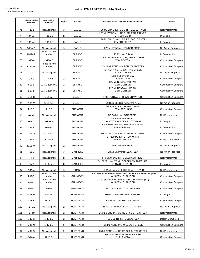|     | <b>Original Bridge</b><br><b>Number</b> | <b>New Bridge</b><br>Number | Region                  | County          | <b>Facility Carried over Featured Intersection</b>                        | <b>Status</b>                |
|-----|-----------------------------------------|-----------------------------|-------------------------|-----------------|---------------------------------------------------------------------------|------------------------------|
| 71  | $F-10-L$                                | Not Assigned                | 3                       | <b>EAGLE</b>    | 170 ML EBND over US 6, RR, EAGLE RIVER                                    | Not Programmed               |
| 72  | $F-11-AB$                               | F-11-BS                     | 3                       | <b>EAGLE</b>    | 170 ML WBND over US 6, RR, EAGLE RIVER<br>E of JCT US 24                  | In Design                    |
| 73  | F-11-AC                                 | F-11-BT                     | 3                       | <b>EAGLE</b>    | 170 ML EBND over US 6, RR, EAGLE RIVER<br>E of JCT SH 131                 | In Design                    |
| 74  | F-11-AO                                 | Not Assigned                | 3                       | EAGLE           | 170 ML EBND over TIMBER CREEK                                             | No Action Proposed           |
| 75  | $H-17-M$                                | Rehab no new<br>number      | $\overline{2}$          | EL PASO         | I 25 ML over DRAW                                                         | In Construction              |
| 76  | $H-18-A$                                | <b>H-18-AD</b>              | $\overline{2}$          | EL PASO         | US 24 ML over BLACK SQUIRREL CREEK<br>W of PEYTON                         | <b>Construction Complete</b> |
|     |                                         | Rehab no new                |                         |                 |                                                                           |                              |
| 77  | $I-17 - AE$                             | number                      | 2                       | EL PASO         | US 24 ML EBND over FOUNTAIN CREEK<br>I 25 SERVICE RD over PINE CREEK      | <b>Construction Complete</b> |
| 78  | $I-17-C$                                | Not Assigned                | $\overline{2}$          | EL PASO         | S of JCT SH 56<br>US 24 ML over DRAW                                      | No Action Proposed           |
| 79  | $I-18-G$                                | $I-18-BQ$                   | $\overline{2}$          | EL PASO         | E of FALCON<br>I 25 ML NBND over DRAW                                     | <b>Construction Complete</b> |
| 80  | $J-18-S$                                | 025A122850NL                | $\overline{2}$          | EL PASO         | S of FOUNTAIN                                                             | <b>Construction Complete</b> |
| 81  | $J-18-T$                                | 025A122564NL                | $\overline{2}$          | <b>EL PASO</b>  | I 25 ML NBND over DRAW<br>S of FOUNTAIN                                   | <b>Construction Complete</b> |
| 82  | $G-21-B$                                | G-21-AP                     | $\overline{4}$          | <b>ELBERT</b>   | 170 FRONTAGE RD over DRAW (SR)                                            | <b>Construction Complete</b> |
| 83  | $G-21-Y$                                | G-21-AO                     | $\overline{4}$          | <b>ELBERT</b>   | 170 BUSINESS SPUR over 170 ML                                             | No Action Proposed           |
| 84  | $J-15-B$                                | $J-15-F$                    | 2                       | <b>FREMONT</b>  | SH 9 ML over CURRANT CREEK<br>NW of JCT US 50                             | <b>Construction Complete</b> |
| 85  | K-14-B                                  | Not Assigned                | $\overline{2}$          | <b>FREMONT</b>  | US 50 ML over OAK CREEK                                                   | Not Programmed               |
| 86  | $K-14-J$                                | K-14-AA                     | $\overline{2}$          | <b>FREMONT</b>  | US 50 ML over DRAW<br>btwn TEXAS CREEK & COTOPAXI                         | In Design                    |
| 87  | $K-16-K$                                | K-16-AL                     | $\overline{2}$          | <b>FREMONT</b>  | SH 120 ML over RR, ARKANSAS RIVER<br>E of PORTLAND                        | In Construction              |
| 88  | $K-16-C$                                | K-16-AM                     | $\overline{2}$          | <b>FREMONT</b>  | SH 120 ML over HARDSCRABBLE CREEK                                         | <b>Construction Complete</b> |
| 89  | $K-16-S$                                | $K-16-CI$                   | $\overline{2}$          | <b>FREMONT</b>  | SH 120 ML over DRAW, UPRR<br>E of FLORENCE                                | Design Completed             |
| 90  | $K-16-W$                                | Not Assigned                | $\overline{2}$          | <b>FREMONT</b>  | SH 67 ML over DRAW                                                        | No Action Proposed           |
| 91  | $F-05-C$                                | Not Assigned                | 3                       | <b>GARFIELD</b> | SH 13 ML over RIFLE CREEK                                                 | No Action Proposed           |
| 92  | $F-05-L$                                | Not Assigned                | 3                       | <b>GARFIELD</b> | 170 ML WBND over COLORADO RIVER                                           | Not Programmed               |
| 93  | $F-07-A$                                | $F-07-V$                    | 3                       | <b>GARFIELD</b> | SH 82 ML over I70 ML, COLORADO RIVER, RR<br><b>GLENWOOD SPRINGS</b>       | In Design                    |
| 94  | $D-13-A$                                | Not Assigned                | 3                       | <b>GRAND</b>    | US 34 ML over N FK COLORADO RIVER                                         | Not Programmed               |
| 95  | $J-09-C$                                | Rehab no new<br>number      | 3                       | <b>GUNNISON</b> | US 50 SERVICE RD over GUNNISON RIVER OVERFLOW (SR)<br>W. SIDE of GUNNISON | <b>Construction Complete</b> |
| 96  | $J-09-D$                                | Rehab no new<br>number      | 3                       | <b>GUNNISON</b> | US 50 SERVICE RD over GUNNISON RIVER (SR)<br>W. SIDE of GUNNISON          | <b>Construction Complete</b> |
| 97  | $J-09-G$                                | J-09-F                      | 3                       | <b>GUNNISON</b> | SH 114 ML over TOMICHI CREEK                                              | <b>Construction Complete</b> |
| 98  | M-16-P                                  | M-16-R                      | $\overline{2}$          | <b>HUERFANO</b> | SH 69 ML over MILLIKEN ARROYO                                             | In Design                    |
| 99  | N-16-L                                  | $N-16-Q$                    | $\overline{2}$          | <b>HUERFANO</b> | SH 69 ML over TURKEY CREEK                                                | <b>Construction Complete</b> |
| 100 | N-17-AD                                 | Not Assigned                | 2                       | <b>HUERFANO</b> | I 25 ML SBND over US 160 ML, RR SPUR                                      | No Action Proposed           |
| 101 | N-17-BN                                 | Not Assigned                | $\overline{\mathbf{c}}$ | <b>HUERFANO</b> | 125 ML SBND over CO RD 640, BUTTE CREEK                                   | Not Programmed               |
| 102 | N-17-C                                  | N-17-BV                     | $\overline{\mathbf{c}}$ | <b>HUERFANO</b> | 125 BUS RT over SULL CREEK                                                | Design Completed             |
| 103 | N-17-N                                  | <b>N-17-BU</b>              | 2                       | <b>HUERFANO</b> | I 25 ML NBND over MISSOURI CREEK                                          | <b>Construction Complete</b> |
| 104 | N-17-S                                  | Not Assigned                | 2                       | <b>HUERFANO</b> | 125 ML NBND over CO RD 103, BUTTE CREEK                                   | Not Programmed               |
| 105 | $O-16-A$                                | $O-16-C$                    | $\overline{2}$          | <b>HUERFANO</b> | SH 12 ML over CUCHARAS RIVER<br>S of LA VETA                              | Construction Complete        |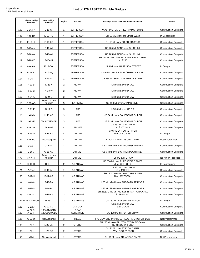#### **List of 179 FASTER Eligible Bridges**

|     | <b>Original Bridge</b><br><b>Number</b> | <b>New Bridge</b><br><b>Number</b> | Region         | County                   | <b>Facility Carried over Featured Intersection</b>                              | <b>Status</b>                |
|-----|-----------------------------------------|------------------------------------|----------------|--------------------------|---------------------------------------------------------------------------------|------------------------------|
| 106 | $E-16-FX$                               | $E-16-XR$                          | $\mathbf{1}$   | <b>JEFFERSON</b>         | WASHINGTON STREET over SH 58 ML                                                 | <b>Construction Complete</b> |
| 107 | E-16-HA                                 | $E-16-HG$                          | $\mathbf{1}$   | <b>JEFFERSON</b>         | SH 58 ML over Ford Street, Wash                                                 | In Construction              |
| 108 | $E-16-HI$                               | $E-16-XQ$                          | $\mathbf{1}$   | <b>JEFFERSON</b>         | SH 58 ML over CO.RD, RR SPUR                                                    | <b>Construction Complete</b> |
| 109 | F-16-AM                                 | F-16-WI                            | 1              | <b>JEFFERSON</b>         | US 285 ML SBND over SH 121 ML                                                   | <b>Construction Complete</b> |
| 110 | $F-16-AY$                               | F-16-WI                            | $\mathbf{1}$   | <b>JEFFERSON</b>         | US 285 ML NBND over SH 121 ML                                                   | <b>Construction Complete</b> |
| 111 | $F-16-CS$                               | $F-16-YR$                          | 1              | <b>JEFFERSON</b>         | SH 121 ML-WADSWORTH over BEAR CREEK<br>N of 285                                 | <b>Construction Complete</b> |
| 112 | $F-16-ER$                               | F-16-EW                            | 1              | <b>JEFFERSON</b>         | US 6 ML over GARRISON STREET                                                    | In Design                    |
| 113 | F-16-FL                                 | $F-16-XQ$                          | $\mathbf{1}$   | <b>JEFFERSON</b>         | US 6 ML over SH 95 ML/SHERIDAN AVE.                                             | <b>Construction Complete</b> |
| 114 | $F-16-I$                                | F-16-YK                            | $\mathbf{1}$   | <b>JEFFERSON</b>         | US 285 ML SBND over PIERCE STREET                                               | <b>Construction Complete</b> |
| 115 | $K-23-B$                                | $K-23-X$                           | 2              | <b>KIOWA</b>             | SH 96 ML over DRAW                                                              | <b>Construction Complete</b> |
|     |                                         | K-23-W                             |                | <b>KIOWA</b>             |                                                                                 |                              |
| 116 | K-23-C                                  |                                    | $\overline{2}$ |                          | SH 96 ML over DRAW                                                              | <b>Construction Complete</b> |
| 117 | K-24-A                                  | K-24-B<br>Repair no new            | 2              | <b>KIOWA</b>             | SH 96 ML over DRAW                                                              | <b>Construction Complete</b> |
| 118 | O-05-AQ                                 | number                             | 5              | LA PLATA                 | US 160 ML over ANIMAS RIVER                                                     | <b>Construction Complete</b> |
| 119 | $G-11-F$                                | $G-11-G$                           | 3              | LAKE                     | US 24 ML over UP RR                                                             | <b>Construction Complete</b> |
| 120 | $H-11-D$                                | <b>H-11-AC</b>                     | 3              | LAKE                     | US 24 ML over CALIFORNIA GULCH                                                  | <b>Construction Complete</b> |
| 121 | H-11-F                                  | 024A178974BR                       | 3              | LAKE                     | US 24 ML over CALIFORNIA GULCH<br>US 287 ML over DRAW                           | <b>Construction Complete</b> |
| 122 | <b>B-16-AE</b>                          | <b>B-16-AJ</b>                     | 4              | LARIMER                  | N of JCT SH 1                                                                   | <b>Construction Complete</b> |
| 123 | $B-16-D$                                | <b>B-16-EV</b>                     | 4              | LARIMER                  | CACHE LA POURE RIVER<br>E of JCT US 287                                         | In Design                    |
| 124 | <b>B-16-EU</b>                          | Not Assigned                       | 4              | LARIMER                  | COUNTY ROAD 48 over I 25 ML                                                     | Not Programmed               |
| 125 | $C-15-I$                                | C-15-AL                            | 4              | LARIMER                  | US 34 ML over BIG THOMPSON RIVER                                                | <b>Construction Complete</b> |
| 126 | $C-15-J$                                | C-15-AM                            | 4              | LARIMER                  | US 34 ML over BIG THOMPSON RIVER                                                | <b>Construction Complete</b> |
| 127 | C-17-EL                                 | Rehab no new<br>number             | 4              | LARIMER                  | 125 ML over DRAW                                                                | No Action Proposed           |
| 128 | O-19-H                                  | O-19-R                             | 2              | LAS ANIMAS               | US 350 ML over PURGATOIRE RIVER<br>NE of JCT US 160                             | In Construction              |
| 129 | $O-19-J$                                | O-19-AH                            | $\overline{2}$ | <b>LAS ANIMAS</b>        | US 350 ML over DRAW<br>S of MODEL                                               | <b>Construction Complete</b> |
| 130 | P-17-H                                  | P-17-AG                            | $\overline{c}$ | LAS ANIMAS               | SH 12 ML over PURGATOIRE RIVER<br>NW of WESTON                                  | <b>Construction Complete</b> |
|     |                                         |                                    |                |                          |                                                                                 | <b>Construction Complete</b> |
| 131 | P-18-B                                  | P-18-BK                            | $\overline{2}$ | <b>LAS ANIMAS</b>        | 125 ML NBND over PURGATOIRE RIVER                                               |                              |
| 132 | P-18-S                                  | P-18-BL                            | 2              | LAS ANIMAS               | I 25 ML SBND over PURGATOIRE RIVER<br>SH 239(CO RD 75) ML over IRRIGATION CANAL | <b>Construction Complete</b> |
| 133 | <b>P-19-AD</b>                          | <b>P-19-AV</b>                     | $\overline{2}$ | LAS ANIMAS               | in TRINIDAD                                                                     | <b>Construction Complete</b> |
|     | 134 P-23-A_MINOR                        | $P-23-D$                           | 2              | LAS ANIMAS               | US 160 ML over SMITH CANYON<br>US 24 ML over DRAW                               | In Design                    |
| 135 | $G-22-J$                                | G-22-CD                            | 4              | <b>LINCOLN</b>           | E of LIMON                                                                      | <b>Construction Complete</b> |
| 136 | A-24-C<br>A-26-F                        | 138A014381BL<br>138A041877BL       | 4              | LOGAN<br><b>SEDGWICK</b> | US 138 ML over DITCH/DRAW                                                       | <b>Construction Complete</b> |
| 137 | $G-03-Q$                                | Not Assigned                       | 3              | <b>MESA</b>              | 170 ML WBND over COLORADO RIVER OVERFLOW                                        | Not Programmed               |
| 138 | $L-22-E$                                | L-22-CM                            | 2              | OTERO                    | SH 266 ML over FT LYON STORAGE CANAL<br>NE of ROCKY FORD                        | <b>Construction Complete</b> |
| 139 | L-22-K                                  | L-22-CO                            | 2              | <b>OTERO</b>             | SH 71 ML over FT LYON CANAL<br>NW of ROCKY FORD                                 | <b>Construction Complete</b> |
| 140 | $L-22-L$                                | Not Assigned                       | $\overline{2}$ | <b>OTERO</b>             | SH 71 ML over ARKANSAS RIVER                                                    | Not Programmed               |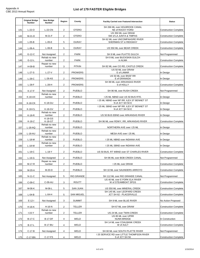|     | <b>Original Bridge</b><br><b>Number</b> | <b>New Bridge</b><br><b>Number</b> | Region         | County            | <b>Facility Carried over Featured Intersection</b>             | <b>Status</b>                |
|-----|-----------------------------------------|------------------------------------|----------------|-------------------|----------------------------------------------------------------|------------------------------|
| 141 | $L-22-O$                                | <b>L-22-CN</b>                     | $\overline{2}$ | <b>OTERO</b>      | SH 266 ML over HOLBROOK CANAL<br>NE of ROCKY FORD              | <b>Construction Complete</b> |
| 142 | M-21-D                                  | M-21-F                             | $\overline{2}$ | OTERO             | US 350 ML over DRAW<br>SW of LA JUNTA & TIMPAS                 | <b>Construction Complete</b> |
| 143 | $L-05-B$                                | $L-05-E$                           | 5              | <b>OURAY</b>      | SH 62 ML over UNCOMPAHGRE RIVER<br>SHERMAN ST in RIDGWAY       | <b>Construction Complete</b> |
| 144 | $L-06-A$                                | $L-06-B$                           | 5              | <b>OURAY</b>      | US 550 ML over BEAR CREEK                                      | <b>Construction Complete</b> |
| 145 | $G-12-C$                                | Not Assigned                       | $\overline{2}$ | <b>PARK</b>       | SH 9 ML over PLATTE GULCH                                      | Not Programmed               |
| 146 | G-12-L                                  | Rehab no new<br>number             | 2              | <b>PARK</b>       | SH 9 ML over BUCKSKIN GULCH<br>in ALMA                         | <b>Construction Complete</b> |
| 147 | $H-09-B$                                | Repair no new<br>number            | 3              | <b>PITKIN</b>     | SH 82 ML over CO RD, CASTLE CREEK                              | <b>Construction Complete</b> |
| 148 | $L-27-S$                                | $L-27-V$                           | $\overline{2}$ | <b>PROWERS</b>    | US 50 ML over DRAW<br>E of LAMAR                               | In Design                    |
| 149 | $L-28-C$                                | $L-28-AS$                          | $\overline{2}$ | <b>PROWERS</b>    | US 50 ML over BNSF RR<br>E of GRANADA                          | In Design                    |
| 150 | $L-28-F$                                | $L-28-H$                           | $\overline{2}$ | <b>PROWERS</b>    | SH 89 ML over ARKANSAS RIVER<br>S of HOLLY                     | <b>Construction Complete</b> |
| 151 | K-17-F                                  | Not Assigned                       | $\overline{2}$ | <b>PUEBLO</b>     | SH 96 ML over RUSH CREEK                                       | Not Programmed               |
| 152 | K-18-AX                                 | Rehab no new<br>number             | $\overline{2}$ | <b>PUEBLO</b>     | 125 ML NBND over US 50 BUS RTE.                                | In Design                    |
| 153 | <b>K-18-CK</b>                          | <b>K-18-GU</b>                     | $\overline{2}$ | PUEBLO            | I 25 ML NBND over NP RR, ILEX ST BENNET ST<br>N of JCT SH 50 E | In Design                    |
|     |                                         | K-18-GV                            |                | <b>PUEBLO</b>     | I 25 ML SBND over NP RR, ILEX ST BENNET ST<br>N of JCT SH 50 E | In Design                    |
| 154 | <b>K-18-CL</b>                          | Rehab no new                       | $\overline{2}$ |                   |                                                                |                              |
| 155 | $K-18-R$                                | number<br>$K-18-GS$                | $\overline{2}$ | <b>PUEBLO</b>     | US 50 BUS EBND over ARKANSAS RIVER                             | In Design                    |
| 156 | $K-18-Z$                                | K-18-GT<br>Rehab no new            | $\overline{2}$ | <b>PUEBLO</b>     | SH 96 ML over RDWY, RR, ARKANSAS RIVER                         | <b>Construction Complete</b> |
| 157 | $L-18-AQ$                               | number<br>Rehab no new             | 2              | <b>PUEBLO</b>     | NORTHERN AVE over I 25 ML                                      | In Design                    |
| 158 | $L-18-AU$                               | number<br>Rehab no new             | $\overline{2}$ | <b>PUEBLO</b>     | MESA AVE over I 25 ML                                          | In Design                    |
| 159 | L-18-M                                  | number<br>Rehab no new             | $\overline{2}$ | <b>PUEBLO</b>     | I 25 ML NBND over INDIANA AVE                                  | In Design                    |
| 160 | $L-18-W$                                | number                             | $\overline{2}$ | <b>PUEBLO</b>     | I 25 ML SBND over INDIANA AVE                                  | In Design                    |
| 161 | $L-19-C$                                | $L-19-Y$                           | $\overline{2}$ | <b>PUEBLO</b>     | US 50 BUS. RT WBND over ST CHARLES RIVER                       | <b>Construction Complete</b> |
| 162 | $L-19-G$                                | Not Assigned                       | $\overline{2}$ | <b>PUEBLO</b>     | SH 96 ML over BOB CREEK CANAL                                  | Not Programmed               |
| 163 | M-17-R                                  | Repair no new<br>number            | 2              | <b>PUEBLO</b>     | 125 ML over DRAW                                               | <b>Construction Complete</b> |
| 164 | M-20-A                                  | M-20-D                             | $\overline{2}$ | <b>PUEBLO</b>     | SH 10 ML over SAUNDERS ARROYO                                  | <b>Construction Complete</b> |
| 165 | $N-11-C$                                | Not Assigned                       | 5              | <b>RIO GRANDE</b> | SH 112 ML over RIO GRANDE CANAL                                | Not Programmed               |
| 166 | $C-09-C$                                | C-09-AU                            | 3              | <b>ROUTT</b>      | US 40 ML over E FORK ELK RIVER<br>W of STEAMBOAT SPGS          | <b>Construction Complete</b> |
| 167 | M-06-K                                  | M-06-L                             | 5              | <b>SAN JUAN</b>   | US 550 ML over MINERAL CREEK                                   | <b>Construction Complete</b> |
| 168 | $L-04-B$                                | $L-04-H$                           | 5              | <b>SAN MIGUEL</b> | SH 145 ML over LEOPARD CREEK<br>JCT SH 62 - PLACERVILLE        | <b>Construction Complete</b> |
| 169 | $E-12-I$                                | Not Assigned                       | 3              | <b>SUMMIT</b>     | SH 9 ML over BLUE RIVER                                        | No Action Proposed           |
| 170 | $H-16-K$                                | H-16-N                             | $\overline{2}$ | TELLER            | SH 67 ML over DRAW                                             | <b>Construction Complete</b> |
|     |                                         | Rehab no new                       |                |                   |                                                                |                              |
| 171 | $I-15-Y$                                | number                             | 2              | <b>TELLER</b>     | US 24 ML over TWIN CREEK<br>US 85 ML over UPRR                 | <b>Construction Complete</b> |
| 172 | <b>B-17-C</b>                           | <b>B-17-DF</b>                     | 4              | WELD              | <b>NUNN BRIDGE</b><br>SH 14 ML over COALBANK CREEK             | In Construction              |
| 173 | B-17-L                                  | <b>B-17-BU</b>                     | 4              | WELD              | W of AULT                                                      | <b>Construction Complete</b> |
| 174 | $C-17-B$                                | Not Assigned                       | 4              | WELD              | SH 60 ML over SOUTH PLATTE RIVER                               | Not Programmed               |
| 175 | C-17-BN                                 | C-17-FS                            | 4              | WELD              | I 25 SERVICE RD over LITTLE THOMPSON RIVER<br>S of JCT SH 56   | Construction Complete        |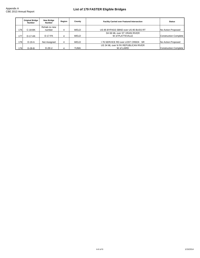|      | <b>Original Bridge</b><br><b>Number</b> | <b>New Bridge</b><br><b>Number</b> | Region | County      | <b>Facility Carried over Featured Intersection</b> | <b>Status</b>         |
|------|-----------------------------------------|------------------------------------|--------|-------------|----------------------------------------------------|-----------------------|
|      |                                         | Rehab no new                       |        |             |                                                    |                       |
| 176  | C-18-BK                                 | number                             | 4      | <b>WELD</b> | US 85 BYPASS SBND over US 85 BUSS RT               | No Action Proposed    |
|      |                                         |                                    |        |             | SH 66 ML over ST VRAIN RIVER                       |                       |
| 177  | $D-17-AK$                               | D-17-FK                            | 4      | <b>WELD</b> | W of PLATTEVILLE                                   | Construction Complete |
|      |                                         |                                    |        |             |                                                    |                       |
| 1781 | $D-19-A$                                | Not Assigned                       | 4      | <b>WELD</b> | 176 SERVICE RD over LOST CREEK SR                  | No Action Proposed    |
|      |                                         |                                    |        |             | US 34 ML over N FK REPUBLICAN RIVER                |                       |
| 1791 | $D-28-B$                                | $D-28-U$                           | 4      | YUMA        | W of LAIRD                                         | Construction Complete |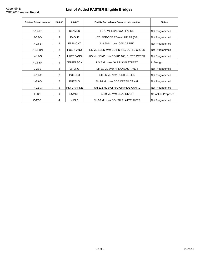### **List of Added FASTER Eligible Bridges**

| <b>Original Bridge Number</b>      | Region                                           | County           | <b>Facility Carried over Featured Intersection</b> | <b>Status</b>      |
|------------------------------------|--------------------------------------------------|------------------|----------------------------------------------------|--------------------|
| $E-17-KR$                          | <b>DENVER</b><br>I 270 ML EBND over I 70 ML<br>1 |                  | Not Programmed                                     |                    |
| $F-08-D$                           | 3                                                | <b>EAGLE</b>     | 170 SERVICE RD over UP RR (SR)                     | Not Programmed     |
| $K-14-B$                           | 2                                                | <b>FREMONT</b>   | US 50 ML over OAK CREEK                            | Not Programmed     |
| N-17-BN                            | 2                                                | <b>HUERFANO</b>  | 125 ML SBND over CO RD 640, BUTTE CREEK            | Not Programmed     |
| N-17-S                             | $\overline{2}$                                   | <b>HUERFANO</b>  | 125 ML NBND over CO RD 103, BUTTE CREEK            | Not Programmed     |
| $F-16-ER$                          |                                                  | <b>JEFFERSON</b> | US 6 ML over GARRISON STREET                       | In Design          |
| $L-22-L$                           | 2                                                | <b>OTERO</b>     | SH 71 ML over ARKANSAS RIVER                       | Not Programmed     |
| $K-17-F$                           | 2                                                | <b>PUEBLO</b>    | SH 96 ML over RUSH CREEK                           | Not Programmed     |
| $L-19-G$                           | 2<br><b>PUEBLO</b>                               |                  | SH 96 ML over BOB CREEK CANAL                      | Not Programmed     |
| <b>RIO GRANDE</b><br>5<br>$N-11-C$ |                                                  |                  | SH 112 ML over RIO GRANDE CANAL                    | Not Programmed     |
| $E-12-I$                           | 3<br><b>SUMMIT</b>                               |                  | SH 9 ML over BLUE RIVER                            | No Action Proposed |
| $C-17-B$<br>4                      |                                                  | WELD             | SH 60 ML over SOUTH PLATTE RIVER                   | Not Programmed     |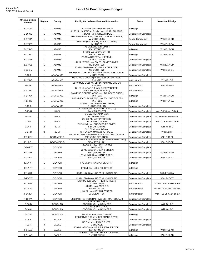J.

| <b>Original Bridge</b><br><b>Number</b> | Region         | County            | <b>Facility Carried over Featured Intersection</b>                           | <b>Status</b>                | <b>Associated Bridge</b> |
|-----------------------------------------|----------------|-------------------|------------------------------------------------------------------------------|------------------------------|--------------------------|
| E-16-AA                                 | $\mathbf{1}$   | <b>ADAMS</b>      | US 287 ML over BNSF RR SPUR                                                  | In Design                    |                          |
| $E-16-GQ$                               | $\mathbf{1}$   | <b>ADAMS</b>      | SH 95 ML (SHERIDAN BLVD) over UP RR, RR SPUR;<br>N of JCT I 76 in WHEATRIDGE | <b>Construction Complete</b> |                          |
| E-17-CA                                 | $\mathbf{1}$   | <b>ADAMS</b>      | SH 44 ML(104TH AVE) over SOUTH PLATTE RIVER;<br>W of JCT US 85               | Design Completed             | With E-17-ER             |
| E-17-ER                                 | $\mathbf{1}$   | <b>ADAMS</b>      | SH 44 ML(104TH AVE) over BULL SEEP;<br>W of US 85                            | Design Completed             | With E-17-CA             |
| E-17-DC                                 | $\mathbf{1}$   | <b>ADAMS</b>      | I 76 ML EBND over UP RR;<br>E of JCT US 85                                   | In Design                    | With E-17-DU             |
| E-17-DU                                 | $\mathbf{1}$   | <b>ADAMS</b>      | 176 ML WBND over UP RR;<br>E of JCT US 85                                    | In Design                    | With E-17-DC             |
|                                         | $\mathbf{1}$   | ADAMS             | PEORIA STREET over I 76 ML;<br>NE of JCT US 85                               |                              |                          |
| $E-17-EX$                               |                |                   | 176 ML WBND over SOUTH PLATTE RIVER:                                         | <b>Construction Complete</b> |                          |
| E-17-GL                                 | $\mathbf{1}$   | <b>ADAMS</b>      | NE of JCT I 270<br>I 76 ML EBND over SOUTH PLATTE RIVER;                     | <b>Construction Complete</b> | With E-17-GM             |
| E-17-GM                                 | $\mathbf{1}$   | <b>ADAMS</b>      | NE of JCT I 270<br>US 85(SANTA FE) ML NBND over DAD CLARK GULCH;             | <b>Construction Complete</b> | With E-17-GL             |
| $F-16-F$                                | $\mathbf{1}$   | ARAPAHOE          | in LITTLETON<br>US 40 ML(E COLFAX) WBND over SAND CREEK;                     | <b>Construction Complete</b> |                          |
| F-17-BS                                 | $\mathbf{1}$   | ARAPAHOE          | E of I-225<br>US 40 ML(E COLFAX) EBND over SAND CREEK;                       | In Construction              | With F-17-F              |
| $F-17-F$                                | $\mathbf{1}$   | ARAPAHOE          | E of I-225<br>SH 88 ML/ARAP RD over CHERRY CREEK;                            | In Construction              | With F-17-BS             |
| F-17-DM                                 | $\mathbf{1}$   | ARAPAHOE          | W OF SH 83(PARKER RD)<br>US 40 ML(E COLFAX) WBND over TOLLGATE CREEK;        | In Construction              |                          |
| F-17-GA                                 | $\mathbf{1}$   | ARAPAHOE          | W of I-225<br>US 40 ML(E COLFAX) EBND over TOLLGATE CREEK;                   | In Design                    | With F-17-GO             |
| F-17-GO                                 | $\mathbf{1}$   | ARAPAHOE          | W of I-225<br>US 36 ML over COMANCHE CREEK;                                  | In Design                    | With F-17-GA             |
| $F-19-B$                                | $\mathbf{1}$   | ARAPAHOE          | E of STRASBURG                                                               | <b>Construction Complete</b> |                          |
| $O-25-H$                                | $\overline{2}$ | <b>BACA</b>       | US 160 ML over N FK SAND ARROYO;<br>SW of PRITCHETT                          | <b>Construction Complete</b> | With O-25-I and O-26-L   |
| $O-25-I$                                | $\overline{2}$ | <b>BACA</b>       | US 160 ML over DRAW;<br>W of PRITCHETT                                       | <b>Construction Complete</b> | With O-25-H and O-26-L   |
| $O-26-L$                                | $\overline{2}$ | <b>BACA</b>       | US 160 ML over CAT CREEK;<br>W of SPRINGFIELD                                | <b>Construction Complete</b> | With O-25-I and O-25-H   |
| $L-24-F$                                | $\overline{2}$ | <b>BENT</b>       | SH 101 ML over PURGATOIRE RIVER;<br>S of LAS ANIMAS                          | <b>Construction Complete</b> | With M-24-B              |
| M-24-B                                  | $\overline{2}$ | <b>BENT</b>       | SH 101 ML over DRAW;<br>S of LAS ANIMAS and JCT US 50                        | <b>Construction Complete</b> | With L-24-F              |
| E-16-FK                                 | $\mathbf{1}$   | <b>BROOMFIELD</b> | SH 121 ML SBND- WADSWORTH PKWY over US 36 ML<br>(DEN/BOULDER TNPK)           | <b>Construction Complete</b> | With E-16-FL             |
| $E-16-FL$                               | $\mathbf{1}$   | <b>BROOMFIELD</b> | CNTY RD / OLD WADS over US 36 ML (DEN/BLDER TNPK);<br>SE of JCT SH 121       | <b>Construction Complete</b> | With E-16-FK             |
| E-16-FW                                 | $\mathbf{1}$   | DENVER            | PECOS STREET over I 70 ML;<br>in DENVER                                      | <b>Construction Complete</b> |                          |
| E-17-BY                                 | $\mathbf{1}$   | <b>DENVER</b>     | I 70 ML EBND over SAND CREEK;<br>E of QUEBEC ST                              | <b>Construction Complete</b> | With E-17-GE             |
| E-17-GE                                 | $\mathbf{1}$   | DENVER            | I 70 ML WBND over SAND CREEK;<br>E of QUEBEC ST                              | <b>Construction Complete</b> | With E-17-BY             |
|                                         |                | <b>DENVER</b>     | I 70 ML over HAVANA ST, UP RR                                                |                              |                          |
| E-17-JP                                 | $\mathbf{1}$   |                   |                                                                              | In Design                    |                          |
| $E-17-FX$                               | $\mathbf{1}$   | DENVER            | 170 ML over US 6, RR, CITY ST                                                | In Design                    |                          |
| F-16-DT                                 | $\mathbf{1}$   | DENVER            | I 25 ML NBND over US 85 ML (SANTA FE)                                        | <b>Construction Complete</b> | With F-16-DW             |
| F-16-DW                                 | $\mathbf{1}$   | <b>DENVER</b>     | I 25 ML SBND over US 85 ML (SANTA FE)<br>US 6 ML over SOUTH PLATTE RIVER;    | <b>Construction Complete</b> | With F-16-DT             |
| $F-16-EF$                               | $\mathbf{1}$   | <b>DENVER</b>     | W SIDE of I-25<br>US 6 ML over BNSF RR;                                      | In Construction              | With F-16-EN ANDF16-EJ   |
| $F-16-EJ$                               | $\mathbf{1}$   | DENVER            | E SIDE OF I-25<br>US 6 ML over BRYANT STREET:                                | In Construction              | With F-16-EF ANDF16-EN   |
| F-16-EN                                 | $\mathbf{1}$   | <b>DENVER</b>     | W SIDE OF I-25                                                               | In Construction              | With F-16-EF ANDF16-EJ   |
| F-16-FW                                 | $\mathbf{1}$   | <b>DENVER</b>     | US 287+SH 88 (FEDERAL) over US 40 ML (COLFAX)<br>US 85 ML over DRAW          | <b>Construction Complete</b> |                          |
| $G-16-B$                                | $\mathbf{1}$   | <b>DOUGLAS</b>    | COOK RANCH to LOUVIERS<br>US 85 ML over DRAW                                 | <b>Construction Complete</b> | With G-16-C              |
| $G-16-C$                                | $\mathbf{1}$   | <b>DOUGLAS</b>    | COOK RANCH to LOUVIERS                                                       | <b>Construction Complete</b> | With G-16-B              |
| G-17-A                                  | $\mathbf{1}$   | <b>DOUGLAS</b>    | US 85 ML over SAND CREEK                                                     | In Design                    |                          |
| $F-08-F$                                | 3              | EAGLE             | 170 SERVICE RD over COLORADO RIVER;<br>N. of DOTSERO INT.                    | <b>Construction Complete</b> |                          |
| $F-09-H$                                | 3              | EAGLE             | US 6 ML over EAGLE RIVER;<br>E of EAGLE                                      | <b>Construction Complete</b> |                          |
| $F-11-AB$                               | 3              | EAGLE             | 170 ML WBND over US 6, RR, EAGLE RIVER;<br>E of JCT US 24                    | In Design                    | With F-11-AC             |
| F-11-AC                                 | 3              | EAGLE             | I 70 ML EBND over US 6, RR, EAGLE RIVER;<br>E of JCT SH 131                  | In Design                    | With F-11-AB             |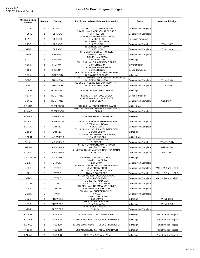| <b>Original Bridge</b><br><b>Number</b> | Region                  | County            | <b>Facility Carried over Featured Intersection</b>                     | <b>Status</b>                | <b>Associated Bridge</b> |
|-----------------------------------------|-------------------------|-------------------|------------------------------------------------------------------------|------------------------------|--------------------------|
| $G-21-B$                                | 4                       | ELBERT            | I 70 FRONTAGE RD over DRAW                                             | <b>Construction Complete</b> |                          |
| $H-18-A$                                | 2                       | EL PASO           | US 24 ML over BLACK SQUIRREL CREEK;<br>W of PEYTON                     | <b>Construction Complete</b> |                          |
| $I-17-O$                                | $\overline{c}$          | EL PASO           | 125 SERVICE RD over PINE CREEK;<br>S of JCT SH 56                      | No Action Proposed           |                          |
| $J-18-S$                                | $\overline{2}$          | EL PASO           | I 25 ML NBND over DRAW;<br>S of FOUNTAIN                               | <b>Construction Complete</b> | With J-18-T              |
| $J-18-T$                                | $\overline{2}$          | EL PASO           | I 25 ML NBND over DRAW;<br>S of FOUNTAIN                               | <b>Construction Complete</b> | With J-18-S              |
| $J-15-B$                                | $\overline{2}$          | <b>FREMONT</b>    | SH 9 ML over CURRANT CREEK;<br>NW of JCT US 50                         | <b>Construction Complete</b> |                          |
| $K-14-J$                                | $\overline{2}$          | <b>FREMONT</b>    | US 50 ML over DRAW,<br>near COTOPAXI                                   | In Design                    |                          |
| $K-16-K$                                | $\overline{2}$          | <b>FREMONT</b>    | SH 120 ML over RR, ARKANSAS RIVER;<br>E of PORTLAND                    | In Construction              |                          |
| $K-16-S$                                | $\overline{2}$          | <b>FREMONT</b>    | SH 120 ML over DRAW, UP RR;<br>E of FLORENCE                           | Design Completed             |                          |
| $F-07-A$                                | 3                       | <b>GARFIELD</b>   | SH 82 ML over I70 ML, COLORADO RVR, RR;<br><b>GLENWOOD SPRINGS</b>     | In Design                    |                          |
|                                         | 3                       | <b>GUNNISON</b>   | US 50 SERVICE RD over GUNNISON RVR OVERFLOW;<br>W. SIDE of GUNNISON    | <b>Construction Complete</b> | With J-09-D              |
| $J-09-C$                                |                         |                   | US 50 SERVICE RD over GUNNISON RVR:                                    |                              |                          |
| $J-09-D$                                | 3                       | <b>GUNNISON</b>   | W. SIDE of GUNNISON                                                    | <b>Construction Complete</b> | With J-09-C              |
| M-16-P                                  | 2                       | <b>HUERFANO</b>   | SH 69 ML over MILLIKEN ARROYO                                          | In Design                    |                          |
| N-17-C                                  | $\overline{2}$          | <b>HUERFANO</b>   | 125 BUS RT over SULL CREEK<br>SH 12 ML over CUCHARAS RIVER:            | Design Completed             |                          |
| $O-16-A$                                | $\overline{2}$          | <b>HUERFANO</b>   | S of LA VETA                                                           | <b>Construction Complete</b> | With P-17-H              |
| $E-16-HA$                               | $\mathbf{1}$            | <b>JEFFERSON</b>  | SH 58 ML over FORD STREET, WASH<br>SH121 ML-WADSWORTH over BEAR CREEK: | In Construction              |                          |
| $F-16-CS$                               | $\mathbf{1}$            | <b>JEFFERSON</b>  | N OF 285                                                               | <b>Construction Complete</b> |                          |
| $F-16-ER$                               | $\mathbf{1}$            | <b>JEFFERSON</b>  | US 6 ML over GARRISON STREET                                           | In Design                    |                          |
| F-16-FL                                 | $\mathbf{1}$            | <b>JEFFERSON</b>  | US 6 ML over SH 95 ML/SHERIDAN AVE                                     | <b>Construction Complete</b> |                          |
| <b>B-16-AE</b>                          | 4                       | LARIMER           | US 287 ML over DRAW;<br>N of JCT SH 1                                  | <b>Construction Complete</b> |                          |
| <b>B-16-D</b>                           | 4                       | LARIMER           | SH 14 ML over CACHE LA POUDRE RIVER;<br>E of JCT US 287                | In Design                    |                          |
| $O-19-H$                                | $\overline{2}$          | <b>LAS ANIMAS</b> | US 350 ML over PURGATOIRE RIVER;<br>NE of JCT US 160                   | In Construction              |                          |
| $O-19-J$                                | $\overline{2}$          | <b>LAS ANIMAS</b> | US 350 ML over DRAW;<br>S of MODEL                                     | <b>Construction Complete</b> | With P-19-AD             |
| $P-17-H$                                | $\overline{2}$          | <b>LAS ANIMAS</b> | SH 12 ML over PURGATOIRE RIVER;<br>NW of WESTON                        | <b>Construction Complete</b> | With O-16-A              |
| P-19-AD                                 | $\overline{\mathbf{c}}$ | <b>LAS ANIMAS</b> | SH 239(CO RD 75) ML over IRRIGATION CANAL;<br>in TRINIDAD              | <b>Construction Complete</b> | With O-19-J              |
| P-23-A_MINOR                            | $\overline{2}$          | <b>LAS ANIMAS</b> | US 160 ML over SMITH CANYON                                            | In Design                    |                          |
| G-22-J                                  | 4                       | LINCOLN           | US 24 ML over DRAW:<br>E of LIMON                                      | <b>Construction Complete</b> |                          |
| $L-22-E$                                | $\overline{c}$          | <b>OTERO</b>      | SH 266 ML over FT LYON STORAGE CANAL;<br>NE of ROCKY FORD              | <b>Construction Complete</b> | With L-22-K and L-22-O   |
|                                         |                         |                   | SH 71 ML over FT LYON CANAL;                                           |                              |                          |
| $L-22-K$                                | $\overline{\mathbf{c}}$ | <b>OTERO</b>      | NW of ROCKY FORD<br>SH 266 ML over HOLBROOK CANAL:                     | <b>Construction Complete</b> | With L-22-E and L-22-O   |
| $L-22-C$                                | 2                       | <b>OTERO</b>      | NE of ROCKY FORD<br>US 350 ML over DRAW;                               | <b>Construction Complete</b> | With L-22-K and L-22-E   |
| M-21-D                                  | 2                       | <b>OTERO</b>      | SW of LA JUNTA & TIMPAS<br>SH 62 ML over UNCOMPAHGRE RIVER;            | <b>Construction Complete</b> |                          |
| $L-05-B$                                | 5                       | <b>OURAY</b>      | SHERMAN ST in RIDGWAY<br>SH 9 ML over BUCKSKIN GULCH;                  | <b>Construction Complete</b> |                          |
| G-12-L                                  | $\mathbf{1}$            | <b>PARK</b>       | in ALMA<br>US 50 ML over DRAW;                                         | <b>Construction Complete</b> |                          |
| $L-27-S$                                | $\overline{c}$          | <b>PROWERS</b>    | E of LAMAR<br>US 50 ML over BNSF RR;                                   | In Design                    | With L-28-C              |
| $L-28-C$                                | $\overline{2}$          | <b>PROWERS</b>    | E of GRANADA<br>SH 89 ML over ARKANSAS RIVER;                          | In Design                    | With L-27-S              |
| $L-28-F$                                | $\overline{c}$          | <b>PROWERS</b>    | S of HOLLY                                                             | <b>Construction Complete</b> |                          |
| K-18-AX                                 | $\overline{2}$          | <b>PUEBLO</b>     | 125 ML NBND over US 50 Bus. Rte.                                       | In Design                    | Part of the Ilex Project |
| K-18-CK                                 | $\overline{2}$          | <b>PUEBLO</b>     | I 25 ML NBND over NP RR, ILEX ST, BENNET ST                            | In Design                    | Part of the Ilex Project |
| K-18-CL                                 | $\overline{2}$          | <b>PUEBLO</b>     | 125 ML SBND over NP RR, ILEX ST, BENNET ST                             | In Design                    | Part of the Ilex Project |
| $K-18-R$                                | $\overline{2}$          | <b>PUEBLO</b>     | US 50 BUS EBND over ARKANSAS RIVER                                     | In Design                    | Part of the Ilex Project |
| $L-18-AQ$                               | $\overline{2}$          | <b>PUEBLO</b>     | NORTHERN AVE over I 25 ML                                              | In Design                    | Part of the Ilex Project |